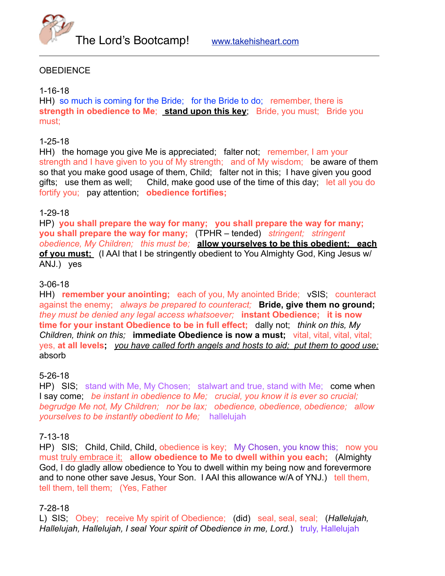

## **OBEDIENCE**

#### 1-16-18

HH) so much is coming for the Bride; for the Bride to do; remember, there is **strength in obedience to Me; stand upon this key;** Bride, you must; Bride you must;

#### 1-25-18

HH) the homage you give Me is appreciated; falter not; remember, I am your strength and I have given to you of My strength; and of My wisdom; be aware of them so that you make good usage of them, Child; falter not in this; I have given you good gifts; use them as well; Child, make good use of the time of this day; let all you do fortify you; pay attention; **obedience fortifies;**

### 1-29-18

HP) **you shall prepare the way for many; you shall prepare the way for many; you shall prepare the way for many;** (TPHR – tended) *stringent; stringent obedience, My Children; this must be;* **allow yourselves to be this obedient; each of you must;** (I AAI that I be stringently obedient to You Almighty God, King Jesus w/ ANJ.) yes

#### 3-06-18

HH) **remember your anointing;** each of you, My anointed Bride; vSIS; counteract against the enemy; *always be prepared to counteract;* **Bride, give them no ground;** *they must be denied any legal access whatsoever;* **instant Obedience; it is now time for your instant Obedience to be in full effect;** dally not; *think on this, My Children, think on this;* **immediate Obedience is now a must;** vital, vital, vital, vital; yes, **at all levels;** *you have called forth angels and hosts to aid; put them to good use;* absorb

#### 5-26-18

HP) SIS; stand with Me, My Chosen; stalwart and true, stand with Me; come when I say come; *be instant in obedience to Me; crucial, you know it is ever so crucial; begrudge Me not, My Children; nor be lax; obedience, obedience, obedience; allow yourselves to be instantly obedient to Me;* hallelujah

#### 7-13-18

HP) SIS; Child, Child, Child, obedience is key; My Chosen, you know this; now you must truly embrace it; **allow obedience to Me to dwell within you each;** (Almighty God, I do gladly allow obedience to You to dwell within my being now and forevermore and to none other save Jesus, Your Son. I AAI this allowance w/A of YNJ.) tell them, tell them, tell them; (Yes, Father

#### 7-28-18

L) SIS; Obey; receive My spirit of Obedience; (did) seal, seal, seal; (*Hallelujah, Hallelujah, Hallelujah, I seal Your spirit of Obedience in me, Lord.*) truly, Hallelujah